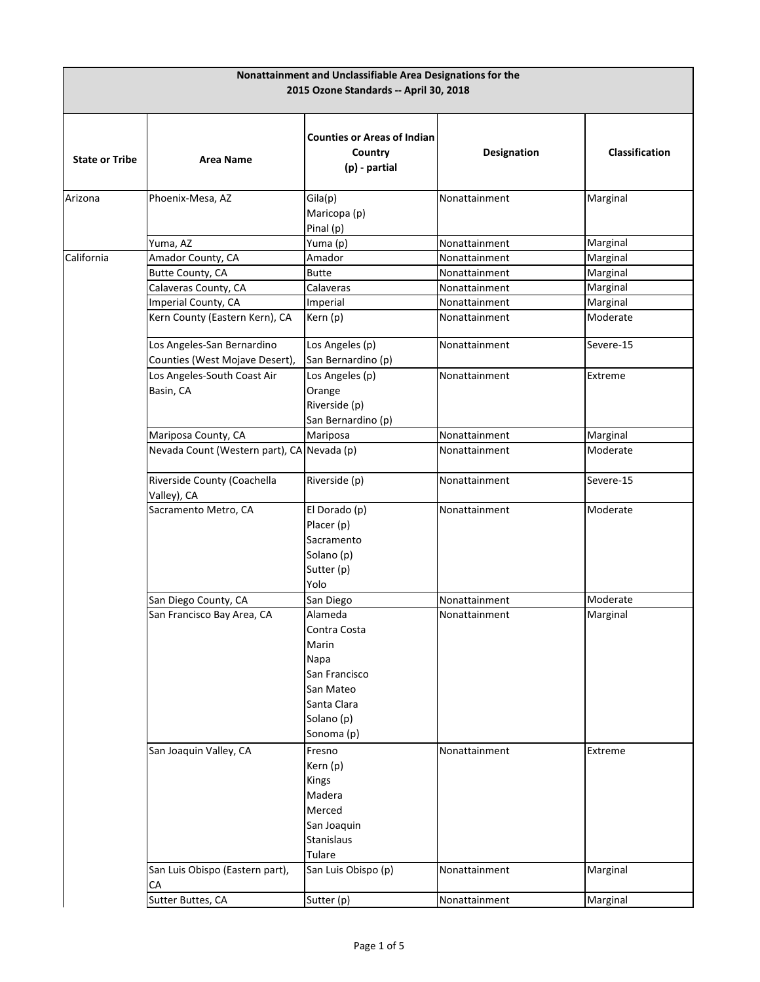| Nonattainment and Unclassifiable Area Designations for the<br>2015 Ozone Standards -- April 30, 2018 |                                                              |                                                                                                                   |               |                       |
|------------------------------------------------------------------------------------------------------|--------------------------------------------------------------|-------------------------------------------------------------------------------------------------------------------|---------------|-----------------------|
| <b>State or Tribe</b>                                                                                | <b>Area Name</b>                                             | <b>Counties or Areas of Indian</b><br>Country<br>(p) - partial                                                    | Designation   | <b>Classification</b> |
| Arizona                                                                                              | Phoenix-Mesa, AZ                                             | Gila(p)<br>Maricopa (p)<br>Pinal (p)                                                                              | Nonattainment | Marginal              |
|                                                                                                      | Yuma, AZ                                                     | Yuma (p)                                                                                                          | Nonattainment | Marginal              |
| California                                                                                           | Amador County, CA                                            | Amador                                                                                                            | Nonattainment | Marginal              |
|                                                                                                      | Butte County, CA                                             | <b>Butte</b>                                                                                                      | Nonattainment | Marginal              |
|                                                                                                      | Calaveras County, CA                                         | Calaveras                                                                                                         | Nonattainment | Marginal              |
|                                                                                                      | Imperial County, CA                                          | Imperial                                                                                                          | Nonattainment | Marginal              |
|                                                                                                      | Kern County (Eastern Kern), CA                               | Kern (p)                                                                                                          | Nonattainment | Moderate              |
|                                                                                                      | Los Angeles-San Bernardino<br>Counties (West Mojave Desert), | Los Angeles (p)<br>San Bernardino (p)                                                                             | Nonattainment | Severe-15             |
|                                                                                                      | Los Angeles-South Coast Air<br>Basin, CA                     | Los Angeles (p)<br>Orange<br>Riverside (p)<br>San Bernardino (p)                                                  | Nonattainment | Extreme               |
|                                                                                                      | Mariposa County, CA                                          | Mariposa                                                                                                          | Nonattainment | Marginal              |
|                                                                                                      | Nevada Count (Western part), CA Nevada (p)                   |                                                                                                                   | Nonattainment | Moderate              |
|                                                                                                      | Riverside County (Coachella<br>Valley), CA                   | Riverside (p)                                                                                                     | Nonattainment | Severe-15             |
|                                                                                                      | Sacramento Metro, CA                                         | El Dorado (p)<br>Placer (p)<br>Sacramento<br>Solano (p)<br>Sutter (p)<br>Yolo                                     | Nonattainment | Moderate              |
|                                                                                                      | San Diego County, CA                                         | San Diego                                                                                                         | Nonattainment | Moderate              |
|                                                                                                      | San Francisco Bay Area, CA                                   | Alameda<br>Contra Costa<br>Marin<br>Napa<br>San Francisco<br>San Mateo<br>Santa Clara<br>Solano (p)<br>Sonoma (p) | Nonattainment | Marginal              |
|                                                                                                      | San Joaquin Valley, CA                                       | Fresno<br>Kern (p)<br>Kings<br>Madera<br>Merced<br>San Joaquin<br>Stanislaus<br>Tulare                            | Nonattainment | Extreme               |
|                                                                                                      | San Luis Obispo (Eastern part),<br>СA                        | San Luis Obispo (p)                                                                                               | Nonattainment | Marginal              |
|                                                                                                      | Sutter Buttes, CA                                            | Sutter (p)                                                                                                        | Nonattainment | Marginal              |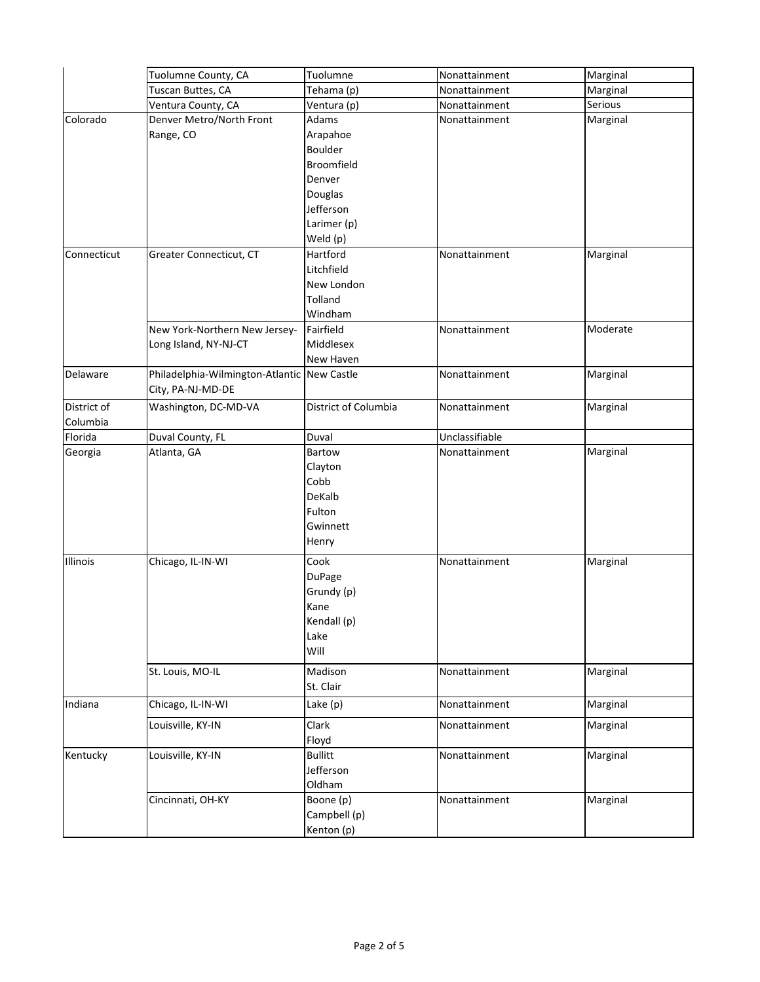|                         | Tuolumne County, CA                                              | Tuolumne                                                                   | Nonattainment  | Marginal |
|-------------------------|------------------------------------------------------------------|----------------------------------------------------------------------------|----------------|----------|
|                         | Tuscan Buttes, CA                                                | Tehama (p)                                                                 | Nonattainment  | Marginal |
|                         | Ventura County, CA                                               | Ventura (p)                                                                | Nonattainment  | Serious  |
| Colorado                | Denver Metro/North Front<br>Range, CO                            | Adams<br>Arapahoe<br>Boulder<br>Broomfield<br>Denver                       | Nonattainment  | Marginal |
|                         |                                                                  | Douglas<br>Jefferson<br>Larimer (p)<br>Weld (p)                            |                |          |
| Connecticut             | Greater Connecticut, CT                                          | Hartford<br>Litchfield<br>New London<br>Tolland<br>Windham                 | Nonattainment  | Marginal |
|                         | New York-Northern New Jersey-<br>Long Island, NY-NJ-CT           | Fairfield<br>Middlesex<br>New Haven                                        | Nonattainment  | Moderate |
| Delaware                | Philadelphia-Wilmington-Atlantic New Castle<br>City, PA-NJ-MD-DE |                                                                            | Nonattainment  | Marginal |
| District of<br>Columbia | Washington, DC-MD-VA                                             | District of Columbia                                                       | Nonattainment  | Marginal |
| Florida                 | Duval County, FL                                                 | Duval                                                                      | Unclassifiable |          |
| Georgia                 | Atlanta, GA                                                      | Bartow<br>Clayton<br>Cobb<br>DeKalb<br>Fulton<br>Gwinnett<br>Henry         | Nonattainment  | Marginal |
| Illinois                | Chicago, IL-IN-WI                                                | Cook<br><b>DuPage</b><br>Grundy (p)<br>Kane<br>Kendall (p)<br>Lake<br>Will | Nonattainment  | Marginal |
|                         | St. Louis, MO-IL                                                 | Madison<br>St. Clair                                                       | Nonattainment  | Marginal |
| Indiana                 | Chicago, IL-IN-WI                                                | Lake $(p)$                                                                 | Nonattainment  | Marginal |
|                         | Louisville, KY-IN                                                | Clark<br>Floyd                                                             | Nonattainment  | Marginal |
| Kentucky                | Louisville, KY-IN                                                | <b>Bullitt</b><br>Jefferson<br>Oldham                                      | Nonattainment  | Marginal |
|                         | Cincinnati, OH-KY                                                | Boone (p)<br>Campbell (p)<br>Kenton (p)                                    | Nonattainment  | Marginal |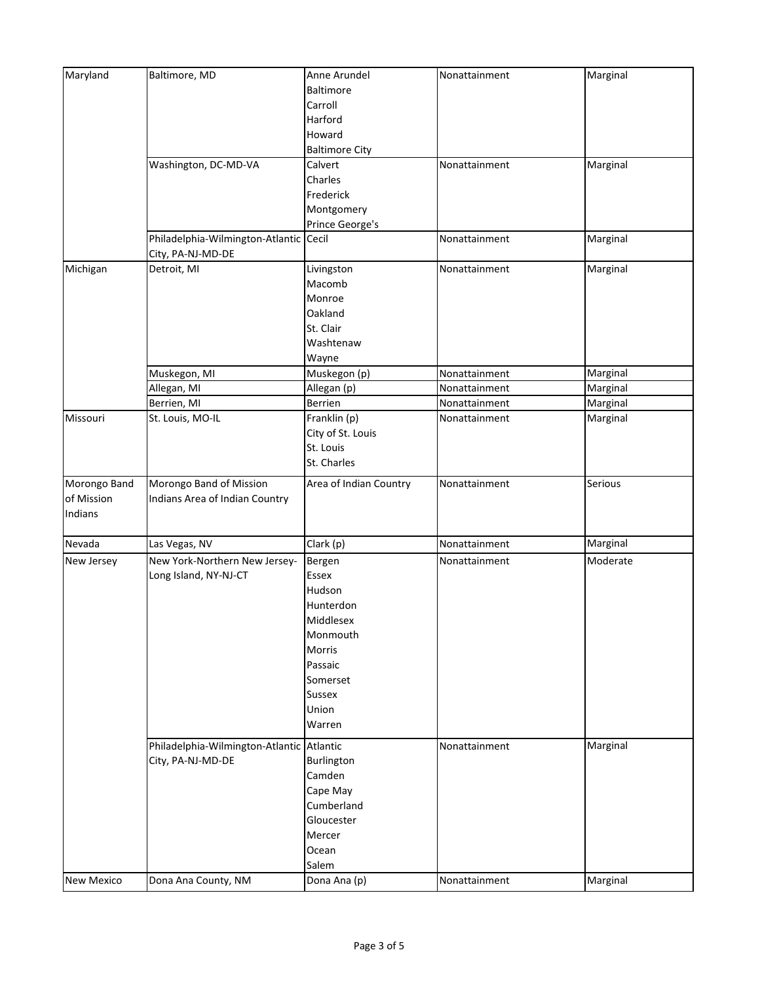| Maryland          | Baltimore, MD                             | Anne Arundel           | Nonattainment | Marginal |
|-------------------|-------------------------------------------|------------------------|---------------|----------|
|                   |                                           | Baltimore              |               |          |
|                   |                                           | Carroll                |               |          |
|                   |                                           | Harford                |               |          |
|                   |                                           | Howard                 |               |          |
|                   |                                           | <b>Baltimore City</b>  |               |          |
|                   | Washington, DC-MD-VA                      | Calvert                | Nonattainment | Marginal |
|                   |                                           | Charles                |               |          |
|                   |                                           | Frederick              |               |          |
|                   |                                           | Montgomery             |               |          |
|                   |                                           | Prince George's        |               |          |
|                   | Philadelphia-Wilmington-Atlantic          | Cecil                  | Nonattainment | Marginal |
|                   | City, PA-NJ-MD-DE                         |                        |               |          |
| Michigan          | Detroit, MI                               | Livingston             | Nonattainment | Marginal |
|                   |                                           | Macomb                 |               |          |
|                   |                                           | Monroe                 |               |          |
|                   |                                           | Oakland                |               |          |
|                   |                                           | St. Clair              |               |          |
|                   |                                           | Washtenaw              |               |          |
|                   |                                           | Wayne                  |               |          |
|                   | Muskegon, MI                              | Muskegon (p)           | Nonattainment | Marginal |
|                   | Allegan, MI                               | Allegan (p)            | Nonattainment | Marginal |
|                   | Berrien, MI                               | Berrien                | Nonattainment | Marginal |
| Missouri          | St. Louis, MO-IL                          | Franklin (p)           | Nonattainment | Marginal |
|                   |                                           | City of St. Louis      |               |          |
|                   |                                           | St. Louis              |               |          |
|                   |                                           | St. Charles            |               |          |
| Morongo Band      | Morongo Band of Mission                   | Area of Indian Country | Nonattainment | Serious  |
| of Mission        | Indians Area of Indian Country            |                        |               |          |
| Indians           |                                           |                        |               |          |
|                   |                                           |                        |               |          |
| Nevada            | Las Vegas, NV                             | Clark (p)              | Nonattainment | Marginal |
| New Jersey        | New York-Northern New Jersey-             | Bergen                 | Nonattainment | Moderate |
|                   | Long Island, NY-NJ-CT                     | Essex                  |               |          |
|                   |                                           | Hudson                 |               |          |
|                   |                                           | Hunterdon              |               |          |
|                   |                                           | Middlesex              |               |          |
|                   |                                           | Monmouth               |               |          |
|                   |                                           | Morris                 |               |          |
|                   |                                           | Passaic                |               |          |
|                   |                                           | Somerset               |               |          |
|                   |                                           | Sussex                 |               |          |
|                   |                                           | Union                  |               |          |
|                   |                                           | Warren                 |               |          |
|                   | Philadelphia-Wilmington-Atlantic Atlantic |                        | Nonattainment | Marginal |
|                   | City, PA-NJ-MD-DE                         | Burlington             |               |          |
|                   |                                           | Camden                 |               |          |
|                   |                                           | Cape May               |               |          |
|                   |                                           | Cumberland             |               |          |
|                   |                                           | Gloucester             |               |          |
|                   |                                           | Mercer                 |               |          |
|                   |                                           | Ocean                  |               |          |
|                   |                                           | Salem                  |               |          |
|                   |                                           |                        |               |          |
| <b>New Mexico</b> | Dona Ana County, NM                       | Dona Ana (p)           | Nonattainment | Marginal |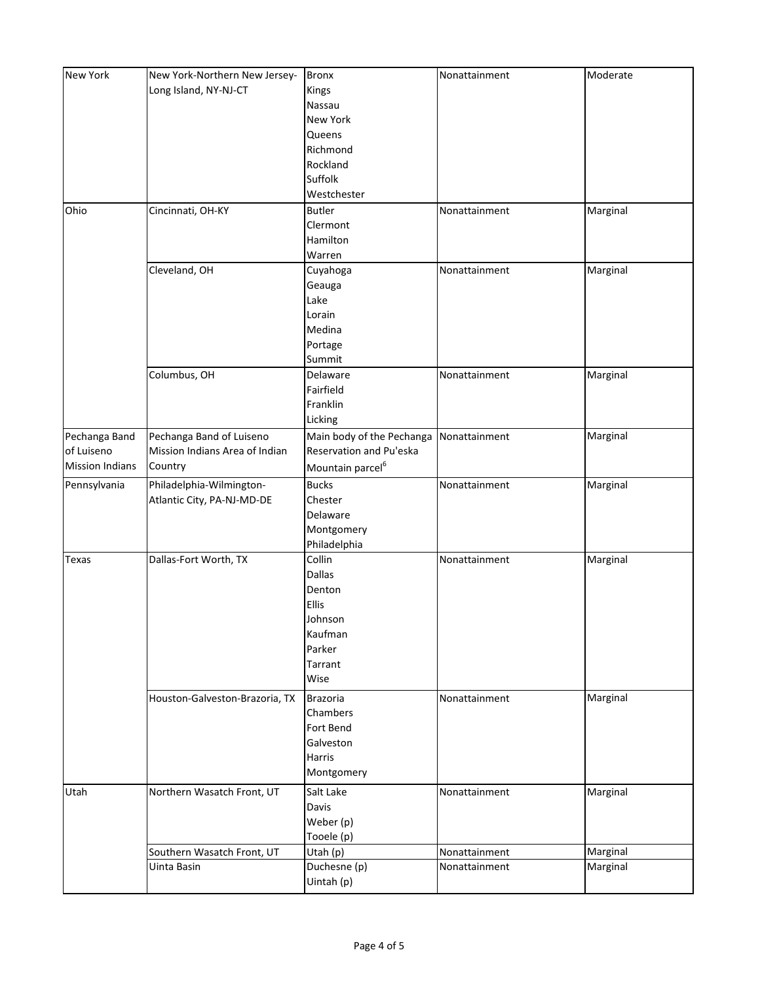| New York               | New York-Northern New Jersey-  | <b>Bronx</b>                 | Nonattainment | Moderate |
|------------------------|--------------------------------|------------------------------|---------------|----------|
|                        | Long Island, NY-NJ-CT          | Kings                        |               |          |
|                        |                                | Nassau                       |               |          |
|                        |                                | New York                     |               |          |
|                        |                                | Queens                       |               |          |
|                        |                                | Richmond                     |               |          |
|                        |                                |                              |               |          |
|                        |                                | Rockland                     |               |          |
|                        |                                | Suffolk                      |               |          |
|                        |                                | Westchester                  |               |          |
| Ohio                   | Cincinnati, OH-KY              | <b>Butler</b>                | Nonattainment | Marginal |
|                        |                                | Clermont                     |               |          |
|                        |                                | Hamilton                     |               |          |
|                        |                                | Warren                       |               |          |
|                        | Cleveland, OH                  | Cuyahoga                     | Nonattainment | Marginal |
|                        |                                | Geauga                       |               |          |
|                        |                                | Lake                         |               |          |
|                        |                                | Lorain                       |               |          |
|                        |                                | Medina                       |               |          |
|                        |                                | Portage                      |               |          |
|                        |                                | Summit                       |               |          |
|                        | Columbus, OH                   | Delaware                     | Nonattainment | Marginal |
|                        |                                | Fairfield                    |               |          |
|                        |                                | Franklin                     |               |          |
|                        |                                | Licking                      |               |          |
|                        |                                |                              |               |          |
| Pechanga Band          | Pechanga Band of Luiseno       | Main body of the Pechanga    | Nonattainment | Marginal |
| of Luiseno             | Mission Indians Area of Indian | Reservation and Pu'eska      |               |          |
| <b>Mission Indians</b> | Country                        | Mountain parcel <sup>6</sup> |               |          |
| Pennsylvania           | Philadelphia-Wilmington-       | <b>Bucks</b>                 | Nonattainment | Marginal |
|                        | Atlantic City, PA-NJ-MD-DE     | Chester                      |               |          |
|                        |                                | Delaware                     |               |          |
|                        |                                | Montgomery                   |               |          |
|                        |                                | Philadelphia                 |               |          |
| Texas                  | Dallas-Fort Worth, TX          | Collin                       | Nonattainment | Marginal |
|                        |                                | <b>Dallas</b>                |               |          |
|                        |                                | Denton                       |               |          |
|                        |                                | Ellis                        |               |          |
|                        |                                | Johnson                      |               |          |
|                        |                                | Kaufman                      |               |          |
|                        |                                | Parker                       |               |          |
|                        |                                | Tarrant                      |               |          |
|                        |                                | Wise                         |               |          |
|                        |                                |                              |               |          |
|                        | Houston-Galveston-Brazoria, TX | <b>Brazoria</b>              | Nonattainment | Marginal |
|                        |                                | Chambers                     |               |          |
|                        |                                | Fort Bend                    |               |          |
|                        |                                | Galveston                    |               |          |
|                        |                                | Harris                       |               |          |
|                        |                                | Montgomery                   |               |          |
| Utah                   | Northern Wasatch Front, UT     | Salt Lake                    | Nonattainment | Marginal |
|                        |                                | Davis                        |               |          |
|                        |                                | Weber (p)                    |               |          |
|                        |                                | Tooele (p)                   |               |          |
|                        | Southern Wasatch Front, UT     | Utah (p)                     | Nonattainment | Marginal |
|                        | Uinta Basin                    | Duchesne (p)                 | Nonattainment | Marginal |
|                        |                                |                              |               |          |
|                        |                                | Uintah (p)                   |               |          |